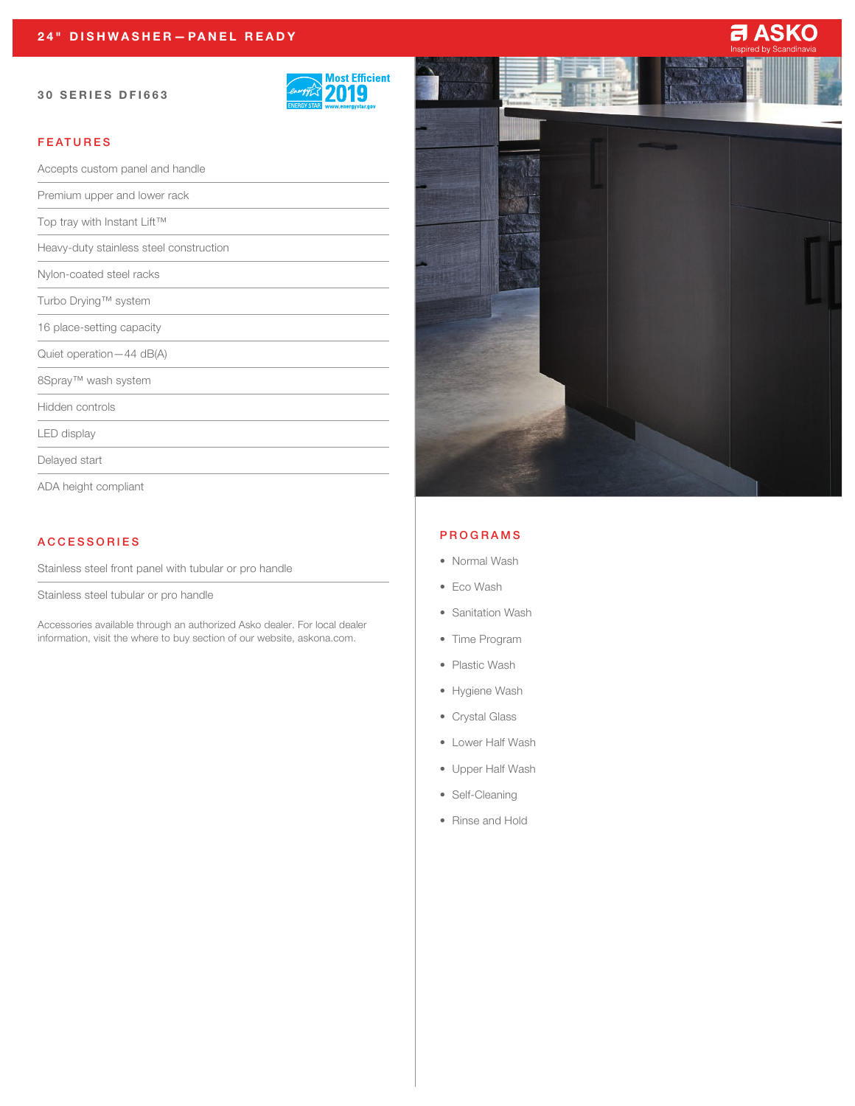#### 30 SERIES DFI663



# FEATURES

| Accepts custom panel and handle         |  |
|-----------------------------------------|--|
| Premium upper and lower rack            |  |
| Top tray with Instant Lift™             |  |
| Heavy-duty stainless steel construction |  |
| Nylon-coated steel racks                |  |
| Turbo Drying™ system                    |  |
| 16 place-setting capacity               |  |
| Quiet operation - 44 dB(A)              |  |
| 8Spray™ wash system                     |  |
| Hidden controls                         |  |
| LED display                             |  |
| Delayed start                           |  |

ADA height compliant

## ACCESSORIES

Stainless steel front panel with tubular or pro handle

Stainless steel tubular or pro handle

Accessories available through an authorized Asko dealer. For local dealer information, visit the where to buy section of our website, askona.com.



#### PROGRAMS

- Normal Wash
- Eco Wash
- Sanitation Wash
- Time Program
- Plastic Wash
- Hygiene Wash
- Crystal Glass
- Lower Half Wash
- Upper Half Wash
- Self-Cleaning
- Rinse and Hold